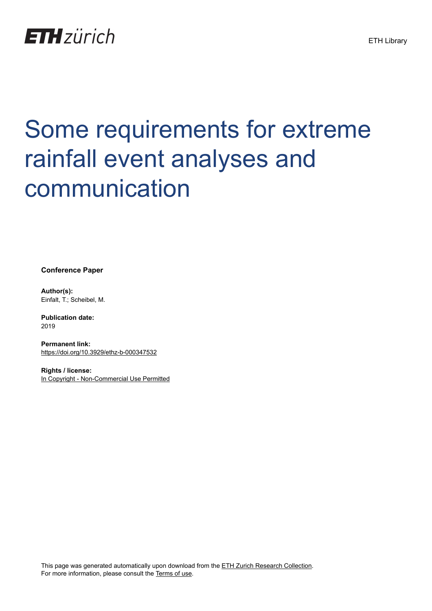

# Some requirements for extreme rainfall event analyses and communication

**Conference Paper**

**Author(s):** Einfalt, T.; Scheibel, M.

**Publication date:** 2019

**Permanent link:** <https://doi.org/10.3929/ethz-b-000347532>

**Rights / license:** [In Copyright - Non-Commercial Use Permitted](http://rightsstatements.org/page/InC-NC/1.0/)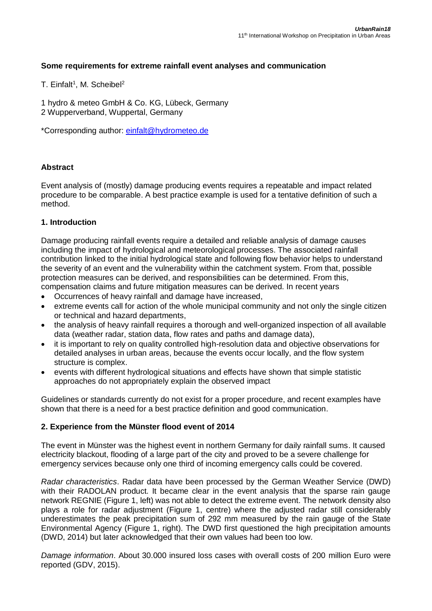### **Some requirements for extreme rainfall event analyses and communication**

T. Einfalt<sup>1</sup>, M. Scheibel<sup>2</sup>

1 hydro & meteo GmbH & Co. KG, Lübeck, Germany 2 Wupperverband, Wuppertal, Germany

\*Corresponding author: [einfalt@hydrometeo.de](mailto:einfalt@hydrometeo.de)

## **Abstract**

Event analysis of (mostly) damage producing events requires a repeatable and impact related procedure to be comparable. A best practice example is used for a tentative definition of such a method.

## **1. Introduction**

Damage producing rainfall events require a detailed and reliable analysis of damage causes including the impact of hydrological and meteorological processes. The associated rainfall contribution linked to the initial hydrological state and following flow behavior helps to understand the severity of an event and the vulnerability within the catchment system. From that, possible protection measures can be derived, and responsibilities can be determined. From this, compensation claims and future mitigation measures can be derived. In recent years

- Occurrences of heavy rainfall and damage have increased,
- extreme events call for action of the whole municipal community and not only the single citizen or technical and hazard departments,
- the analysis of heavy rainfall requires a thorough and well-organized inspection of all available data (weather radar, station data, flow rates and paths and damage data),
- it is important to rely on quality controlled high-resolution data and objective observations for detailed analyses in urban areas, because the events occur locally, and the flow system structure is complex.
- events with different hydrological situations and effects have shown that simple statistic approaches do not appropriately explain the observed impact

Guidelines or standards currently do not exist for a proper procedure, and recent examples have shown that there is a need for a best practice definition and good communication.

#### **2. Experience from the Münster flood event of 2014**

The event in Münster was the highest event in northern Germany for daily rainfall sums. It caused electricity blackout, flooding of a large part of the city and proved to be a severe challenge for emergency services because only one third of incoming emergency calls could be covered.

*Radar characteristics*. Radar data have been processed by the German Weather Service (DWD) with their RADOLAN product. It became clear in the event analysis that the sparse rain gauge network REGNIE [\(Figure 1,](#page-2-0) left) was not able to detect the extreme event. The network density also plays a role for radar adjustment [\(Figure 1,](#page-2-0) centre) where the adjusted radar still considerably underestimates the peak precipitation sum of 292 mm measured by the rain gauge of the State Environmental Agency [\(Figure 1,](#page-2-0) right). The DWD first questioned the high precipitation amounts (DWD, 2014) but later acknowledged that their own values had been too low.

*Damage information*. About 30.000 insured loss cases with overall costs of 200 million Euro were reported (GDV, 2015).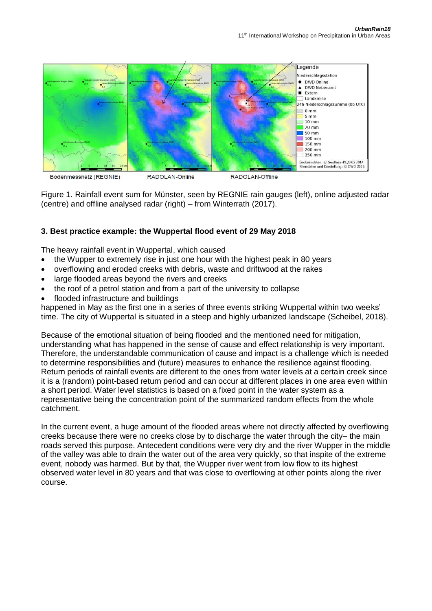

<span id="page-2-0"></span>Figure 1. Rainfall event sum for Münster, seen by REGNIE rain gauges (left), online adjusted radar (centre) and offline analysed radar (right) – from Winterrath (2017).

# **3. Best practice example: the Wuppertal flood event of 29 May 2018**

The heavy rainfall event in Wuppertal, which caused

- the Wupper to extremely rise in just one hour with the highest peak in 80 years
- overflowing and eroded creeks with debris, waste and driftwood at the rakes
- large flooded areas beyond the rivers and creeks
- the roof of a petrol station and from a part of the university to collapse
- flooded infrastructure and buildings

happened in May as the first one in a series of three events striking Wuppertal within two weeks' time. The city of Wuppertal is situated in a steep and highly urbanized landscape (Scheibel, 2018).

Because of the emotional situation of being flooded and the mentioned need for mitigation, understanding what has happened in the sense of cause and effect relationship is very important. Therefore, the understandable communication of cause and impact is a challenge which is needed to determine responsibilities and (future) measures to enhance the resilience against flooding. Return periods of rainfall events are different to the ones from water levels at a certain creek since it is a (random) point-based return period and can occur at different places in one area even within a short period. Water level statistics is based on a fixed point in the water system as a representative being the concentration point of the summarized random effects from the whole catchment.

In the current event, a huge amount of the flooded areas where not directly affected by overflowing creeks because there were no creeks close by to discharge the water through the city– the main roads served this purpose. Antecedent conditions were very dry and the river Wupper in the middle of the valley was able to drain the water out of the area very quickly, so that inspite of the extreme event, nobody was harmed. But by that, the Wupper river went from low flow to its highest observed water level in 80 years and that was close to overflowing at other points along the river course.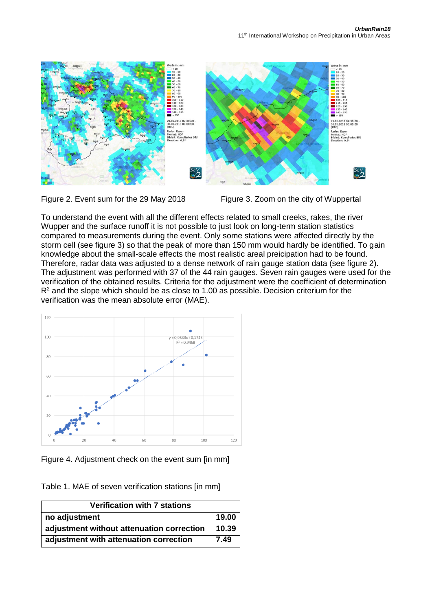



To understand the event with all the different effects related to small creeks, rakes, the river Wupper and the surface runoff it is not possible to just look on long-term station statistics compared to measurements during the event. Only some stations were affected directly by the storm cell (see figure 3) so that the peak of more than 150 mm would hardly be identified. To gain knowledge about the small-scale effects the most realistic areal preicipation had to be found. Therefore, radar data was adjusted to a dense network of rain gauge station data (see figure 2). The adjustment was performed with 37 of the 44 rain gauges. Seven rain gauges were used for the verification of the obtained results. Criteria for the adjustment were the coefficient of determination  $R<sup>2</sup>$  and the slope which should be as close to 1.00 as possible. Decision criterium for the verification was the mean absolute error (MAE).



Figure 4. Adjustment check on the event sum [in mm]

Table 1. MAE of seven verification stations [in mm]

| <b>Verification with 7 stations</b>       |       |
|-------------------------------------------|-------|
| no adjustment                             | 19.00 |
| adjustment without attenuation correction | 10.39 |
| adjustment with attenuation correction    | 7.49  |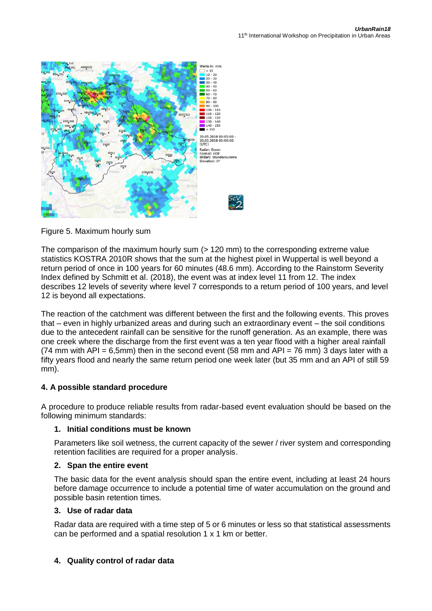

Figure 5. Maximum hourly sum

The comparison of the maximum hourly sum (> 120 mm) to the corresponding extreme value statistics KOSTRA 2010R shows that the sum at the highest pixel in Wuppertal is well beyond a return period of once in 100 years for 60 minutes (48.6 mm). According to the Rainstorm Severity Index defined by Schmitt et al. (2018), the event was at index level 11 from 12. The index describes 12 levels of severity where level 7 corresponds to a return period of 100 years, and level 12 is beyond all expectations.

The reaction of the catchment was different between the first and the following events. This proves that – even in highly urbanized areas and during such an extraordinary event – the soil conditions due to the antecedent rainfall can be sensitive for the runoff generation. As an example, there was one creek where the discharge from the first event was a ten year flood with a higher areal rainfall (74 mm with API = 6,5mm) then in the second event (58 mm and API = 76 mm) 3 days later with a fifty years flood and nearly the same return period one week later (but 35 mm and an API of still 59 mm).

# **4. A possible standard procedure**

A procedure to produce reliable results from radar-based event evaluation should be based on the following minimum standards:

# **1. Initial conditions must be known**

Parameters like soil wetness, the current capacity of the sewer / river system and corresponding retention facilities are required for a proper analysis.

#### **2. Span the entire event**

The basic data for the event analysis should span the entire event, including at least 24 hours before damage occurrence to include a potential time of water accumulation on the ground and possible basin retention times.

# **3. Use of radar data**

Radar data are required with a time step of 5 or 6 minutes or less so that statistical assessments can be performed and a spatial resolution 1 x 1 km or better.

# **4. Quality control of radar data**